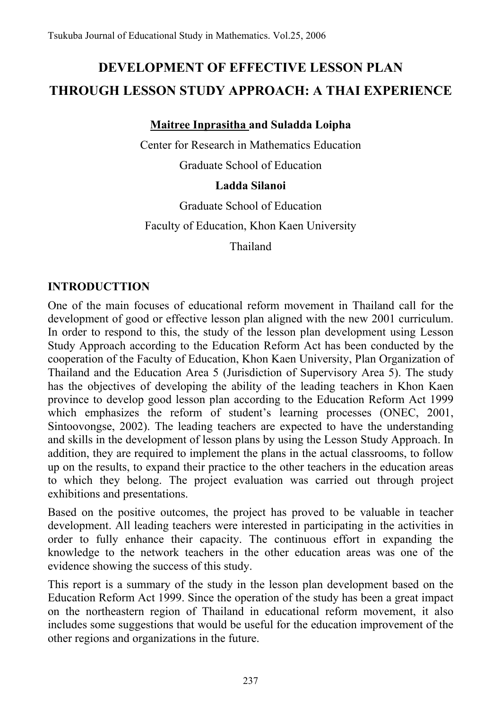# **DEVELOPMENT OF EFFECTIVE LESSON PLAN THROUGH LESSON STUDY APPROACH: A THAI EXPERIENCE**

# **Maitree Inprasitha and Suladda Loipha**

Center for Research in Mathematics Education

Graduate School of Education

# **Ladda Silanoi**

Graduate School of Education

Faculty of Education, Khon Kaen University

Thailand

# **INTRODUCTTION**

One of the main focuses of educational reform movement in Thailand call for the development of good or effective lesson plan aligned with the new 2001 curriculum. In order to respond to this, the study of the lesson plan development using Lesson Study Approach according to the Education Reform Act has been conducted by the cooperation of the Faculty of Education, Khon Kaen University, Plan Organization of Thailand and the Education Area 5 (Jurisdiction of Supervisory Area 5). The study has the objectives of developing the ability of the leading teachers in Khon Kaen province to develop good lesson plan according to the Education Reform Act 1999 which emphasizes the reform of student's learning processes (ONEC, 2001, Sintoovongse, 2002). The leading teachers are expected to have the understanding and skills in the development of lesson plans by using the Lesson Study Approach. In addition, they are required to implement the plans in the actual classrooms, to follow up on the results, to expand their practice to the other teachers in the education areas to which they belong. The project evaluation was carried out through project exhibitions and presentations.

Based on the positive outcomes, the project has proved to be valuable in teacher development. All leading teachers were interested in participating in the activities in order to fully enhance their capacity. The continuous effort in expanding the knowledge to the network teachers in the other education areas was one of the evidence showing the success of this study.

This report is a summary of the study in the lesson plan development based on the Education Reform Act 1999. Since the operation of the study has been a great impact on the northeastern region of Thailand in educational reform movement, it also includes some suggestions that would be useful for the education improvement of the other regions and organizations in the future.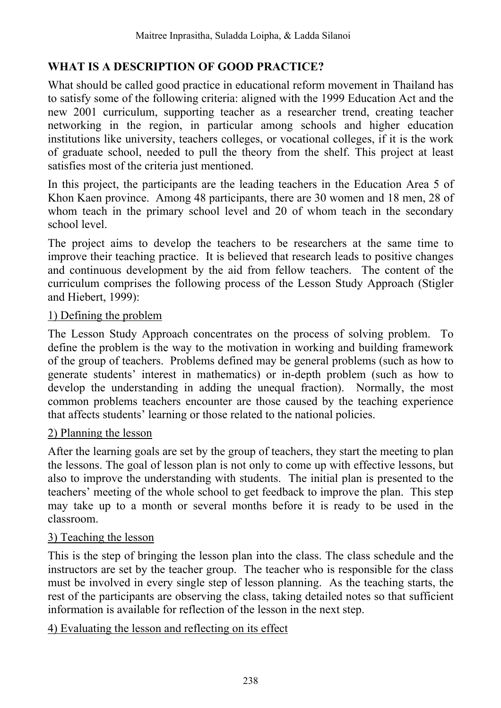# **WHAT IS A DESCRIPTION OF GOOD PRACTICE?**

What should be called good practice in educational reform movement in Thailand has to satisfy some of the following criteria: aligned with the 1999 Education Act and the new 2001 curriculum, supporting teacher as a researcher trend, creating teacher networking in the region, in particular among schools and higher education institutions like university, teachers colleges, or vocational colleges, if it is the work of graduate school, needed to pull the theory from the shelf. This project at least satisfies most of the criteria just mentioned.

In this project, the participants are the leading teachers in the Education Area 5 of Khon Kaen province. Among 48 participants, there are 30 women and 18 men, 28 of whom teach in the primary school level and 20 of whom teach in the secondary school level.

The project aims to develop the teachers to be researchers at the same time to improve their teaching practice. It is believed that research leads to positive changes and continuous development by the aid from fellow teachers. The content of the curriculum comprises the following process of the Lesson Study Approach (Stigler and Hiebert, 1999):

### 1) Defining the problem

The Lesson Study Approach concentrates on the process of solving problem. To define the problem is the way to the motivation in working and building framework of the group of teachers. Problems defined may be general problems (such as how to generate students' interest in mathematics) or in-depth problem (such as how to develop the understanding in adding the unequal fraction). Normally, the most common problems teachers encounter are those caused by the teaching experience that affects students' learning or those related to the national policies.

### 2) Planning the lesson

After the learning goals are set by the group of teachers, they start the meeting to plan the lessons. The goal of lesson plan is not only to come up with effective lessons, but also to improve the understanding with students. The initial plan is presented to the teachers' meeting of the whole school to get feedback to improve the plan. This step may take up to a month or several months before it is ready to be used in the classroom.

### 3) Teaching the lesson

This is the step of bringing the lesson plan into the class. The class schedule and the instructors are set by the teacher group. The teacher who is responsible for the class must be involved in every single step of lesson planning. As the teaching starts, the rest of the participants are observing the class, taking detailed notes so that sufficient information is available for reflection of the lesson in the next step.

### 4) Evaluating the lesson and reflecting on its effect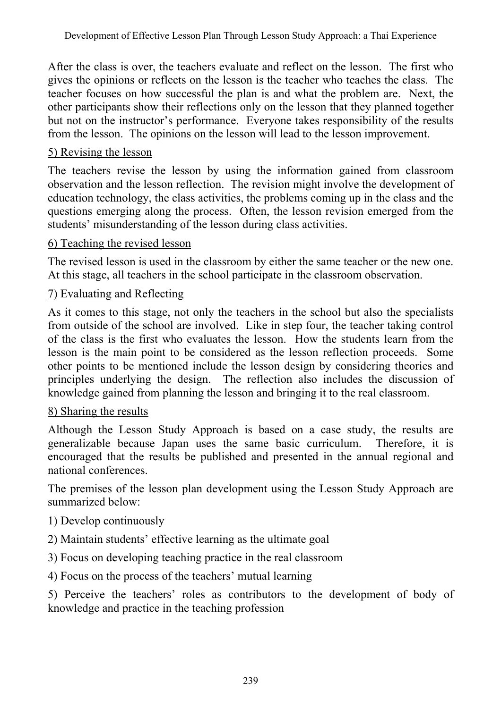After the class is over, the teachers evaluate and reflect on the lesson. The first who gives the opinions or reflects on the lesson is the teacher who teaches the class. The teacher focuses on how successful the plan is and what the problem are. Next, the other participants show their reflections only on the lesson that they planned together but not on the instructor's performance. Everyone takes responsibility of the results from the lesson. The opinions on the lesson will lead to the lesson improvement.

### 5) Revising the lesson

The teachers revise the lesson by using the information gained from classroom observation and the lesson reflection. The revision might involve the development of education technology, the class activities, the problems coming up in the class and the questions emerging along the process. Often, the lesson revision emerged from the students' misunderstanding of the lesson during class activities.

### 6) Teaching the revised lesson

The revised lesson is used in the classroom by either the same teacher or the new one. At this stage, all teachers in the school participate in the classroom observation.

### 7) Evaluating and Reflecting

As it comes to this stage, not only the teachers in the school but also the specialists from outside of the school are involved. Like in step four, the teacher taking control of the class is the first who evaluates the lesson. How the students learn from the lesson is the main point to be considered as the lesson reflection proceeds. Some other points to be mentioned include the lesson design by considering theories and principles underlying the design. The reflection also includes the discussion of knowledge gained from planning the lesson and bringing it to the real classroom.

# 8) Sharing the results

Although the Lesson Study Approach is based on a case study, the results are generalizable because Japan uses the same basic curriculum. Therefore, it is encouraged that the results be published and presented in the annual regional and national conferences.

The premises of the lesson plan development using the Lesson Study Approach are summarized below:

# 1) Develop continuously

- 2) Maintain students' effective learning as the ultimate goal
- 3) Focus on developing teaching practice in the real classroom
- 4) Focus on the process of the teachers' mutual learning

5) Perceive the teachers' roles as contributors to the development of body of knowledge and practice in the teaching profession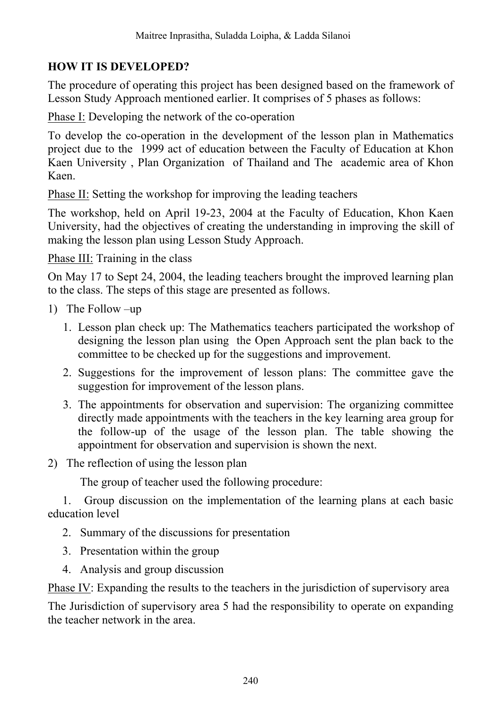# **HOW IT IS DEVELOPED?**

The procedure of operating this project has been designed based on the framework of Lesson Study Approach mentioned earlier. It comprises of 5 phases as follows:

Phase I: Developing the network of the co-operation

To develop the co-operation in the development of the lesson plan in Mathematics project due to the 1999 act of education between the Faculty of Education at Khon Kaen University , Plan Organization of Thailand and The academic area of Khon Kaen.

Phase II: Setting the workshop for improving the leading teachers

The workshop, held on April 19-23, 2004 at the Faculty of Education, Khon Kaen University, had the objectives of creating the understanding in improving the skill of making the lesson plan using Lesson Study Approach.

Phase III: Training in the class

On May 17 to Sept 24, 2004, the leading teachers brought the improved learning plan to the class. The steps of this stage are presented as follows.

- 1) The Follow –up
	- 1. Lesson plan check up: The Mathematics teachers participated the workshop of designing the lesson plan using the Open Approach sent the plan back to the committee to be checked up for the suggestions and improvement.
	- 2. Suggestions for the improvement of lesson plans: The committee gave the suggestion for improvement of the lesson plans.
	- 3. The appointments for observation and supervision: The organizing committee directly made appointments with the teachers in the key learning area group for the follow-up of the usage of the lesson plan. The table showing the appointment for observation and supervision is shown the next.
- 2) The reflection of using the lesson plan

The group of teacher used the following procedure:

 1. Group discussion on the implementation of the learning plans at each basic education level

- 2. Summary of the discussions for presentation
- 3. Presentation within the group
- 4. Analysis and group discussion

Phase IV: Expanding the results to the teachers in the jurisdiction of supervisory area

The Jurisdiction of supervisory area 5 had the responsibility to operate on expanding the teacher network in the area.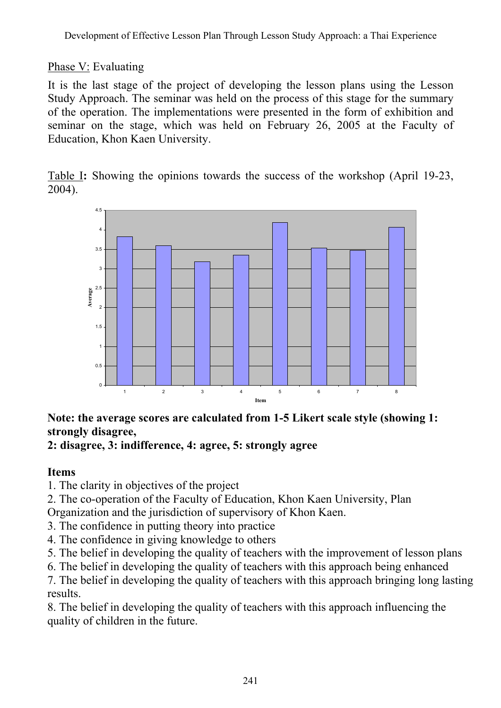# Phase V: Evaluating

It is the last stage of the project of developing the lesson plans using the Lesson Study Approach. The seminar was held on the process of this stage for the summary of the operation. The implementations were presented in the form of exhibition and seminar on the stage, which was held on February 26, 2005 at the Faculty of Education, Khon Kaen University.

Table I**:** Showing the opinions towards the success of the workshop (April 19-23, 2004).



# **Note: the average scores are calculated from 1-5 Likert scale style (showing 1: strongly disagree,**

### **2: disagree, 3: indifference, 4: agree, 5: strongly agree**

# **Items**

1. The clarity in objectives of the project

2. The co-operation of the Faculty of Education, Khon Kaen University, Plan Organization and the jurisdiction of supervisory of Khon Kaen.

3. The confidence in putting theory into practice

4. The confidence in giving knowledge to others

5. The belief in developing the quality of teachers with the improvement of lesson plans

6. The belief in developing the quality of teachers with this approach being enhanced

7. The belief in developing the quality of teachers with this approach bringing long lasting results.

8. The belief in developing the quality of teachers with this approach influencing the quality of children in the future.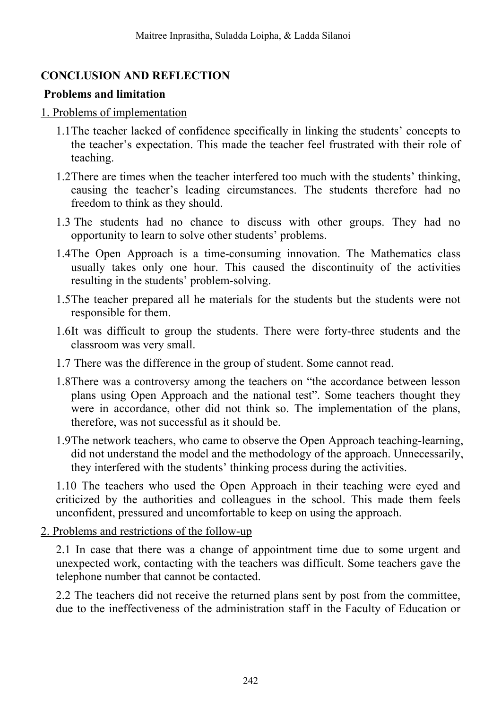# **CONCLUSION AND REFLECTION**

# **Problems and limitation**

### 1. Problems of implementation

- 1.1The teacher lacked of confidence specifically in linking the students' concepts to the teacher's expectation. This made the teacher feel frustrated with their role of teaching.
- 1.2There are times when the teacher interfered too much with the students' thinking, causing the teacher's leading circumstances. The students therefore had no freedom to think as they should.
- 1.3 The students had no chance to discuss with other groups. They had no opportunity to learn to solve other students' problems.
- 1.4The Open Approach is a time-consuming innovation. The Mathematics class usually takes only one hour. This caused the discontinuity of the activities resulting in the students' problem-solving.
- 1.5The teacher prepared all he materials for the students but the students were not responsible for them.
- 1.6It was difficult to group the students. There were forty-three students and the classroom was very small.
- 1.7 There was the difference in the group of student. Some cannot read.
- 1.8There was a controversy among the teachers on "the accordance between lesson plans using Open Approach and the national test". Some teachers thought they were in accordance, other did not think so. The implementation of the plans, therefore, was not successful as it should be.
- 1.9The network teachers, who came to observe the Open Approach teaching-learning, did not understand the model and the methodology of the approach. Unnecessarily, they interfered with the students' thinking process during the activities.

1.10 The teachers who used the Open Approach in their teaching were eyed and criticized by the authorities and colleagues in the school. This made them feels unconfident, pressured and uncomfortable to keep on using the approach.

2. Problems and restrictions of the follow-up

2.1 In case that there was a change of appointment time due to some urgent and unexpected work, contacting with the teachers was difficult. Some teachers gave the telephone number that cannot be contacted.

2.2 The teachers did not receive the returned plans sent by post from the committee, due to the ineffectiveness of the administration staff in the Faculty of Education or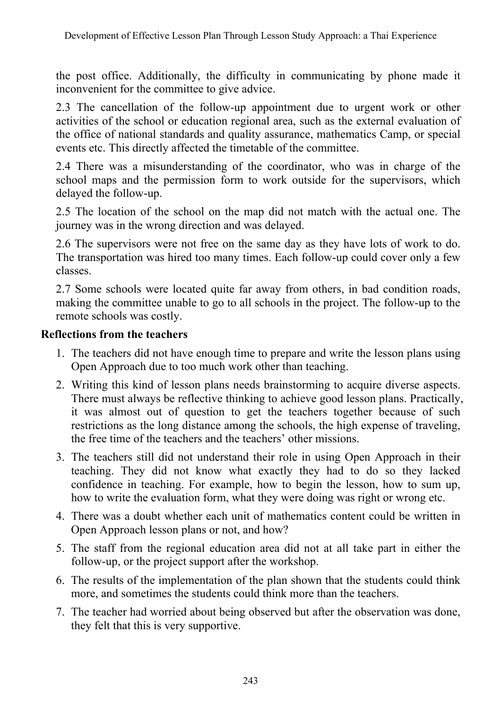the post office. Additionally, the difficulty in communicating by phone made it inconvenient for the committee to give advice.

2.3 The cancellation of the follow-up appointment due to urgent work or other activities of the school or education regional area, such as the external evaluation of the office of national standards and quality assurance, mathematics Camp, or special events etc. This directly affected the timetable of the committee.

2.4 There was a misunderstanding of the coordinator, who was in charge of the school maps and the permission form to work outside for the supervisors, which delayed the follow-up.

2.5 The location of the school on the map did not match with the actual one. The journey was in the wrong direction and was delayed.

2.6 The supervisors were not free on the same day as they have lots of work to do. The transportation was hired too many times. Each follow-up could cover only a few classes.

2.7 Some schools were located quite far away from others, in bad condition roads, making the committee unable to go to all schools in the project. The follow-up to the remote schools was costly.

### **Reflections from the teachers**

- 1. The teachers did not have enough time to prepare and write the lesson plans using Open Approach due to too much work other than teaching.
- 2. Writing this kind of lesson plans needs brainstorming to acquire diverse aspects. There must always be reflective thinking to achieve good lesson plans. Practically, it was almost out of question to get the teachers together because of such restrictions as the long distance among the schools, the high expense of traveling, the free time of the teachers and the teachers' other missions.
- 3. The teachers still did not understand their role in using Open Approach in their teaching. They did not know what exactly they had to do so they lacked confidence in teaching. For example, how to begin the lesson, how to sum up, how to write the evaluation form, what they were doing was right or wrong etc.
- 4. There was a doubt whether each unit of mathematics content could be written in Open Approach lesson plans or not, and how?
- 5. The staff from the regional education area did not at all take part in either the follow-up, or the project support after the workshop.
- 6. The results of the implementation of the plan shown that the students could think more, and sometimes the students could think more than the teachers.
- 7. The teacher had worried about being observed but after the observation was done, they felt that this is very supportive.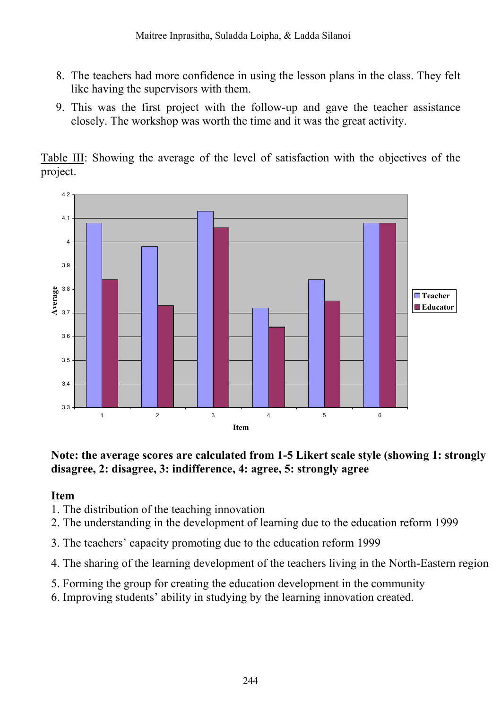- 8. The teachers had more confidence in using the lesson plans in the class. They felt like having the supervisors with them.
- 9. This was the first project with the follow-up and gave the teacher assistance closely. The workshop was worth the time and it was the great activity.

Table III: Showing the average of the level of satisfaction with the objectives of the project.



### **Note: the average scores are calculated from 1-5 Likert scale style (showing 1: strongly disagree, 2: disagree, 3: indifference, 4: agree, 5: strongly agree**

# **Item**

- 1. The distribution of the teaching innovation
- 2. The understanding in the development of learning due to the education reform 1999
- 3. The teachers' capacity promoting due to the education reform 1999
- 4. The sharing of the learning development of the teachers living in the North-Eastern region
- 5. Forming the group for creating the education development in the community
- 6. Improving students' ability in studying by the learning innovation created.